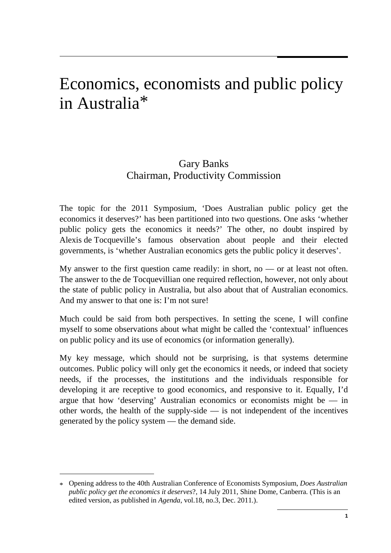# Economics, economists and public policy in Australia[\\*](#page-0-0)

## Gary Banks Chairman, Productivity Commission

The topic for the 2011 Symposium, 'Does Australian public policy get the economics it deserves?' has been partitioned into two questions. One asks 'whether public policy gets the economics it needs?' The other, no doubt inspired by Alexis de Tocqueville's famous observation about people and their elected governments, is 'whether Australian economics gets the public policy it deserves'.

My answer to the first question came readily: in short, no  $-$  or at least not often. The answer to the de Tocquevillian one required reflection, however, not only about the state of public policy in Australia, but also about that of Australian economics. And my answer to that one is: I'm not sure!

Much could be said from both perspectives. In setting the scene, I will confine myself to some observations about what might be called the 'contextual' influences on public policy and its use of economics (or information generally).

<span id="page-0-1"></span>My key message, which should not be surprising, is that systems determine outcomes. Public policy will only get the economics it needs, or indeed that society needs, if the processes, the institutions and the individuals responsible for developing it are receptive to good economics, and responsive to it. Equally, I'd argue that how 'deserving' Australian economics or economists might be  $-$  in other words, the health of the supply-side — is not independent of the incentives generated by the policy system — the demand side.

-

<span id="page-0-0"></span><sup>\*</sup> Opening address to the 40th Australian Conference of Economists Symposium, *Does Australian public policy get the economics it deserves*?, 14 July 2011, Shine Dome, Canberra. (This is an edited version, as published in *Agenda*, vol.18, no.3, Dec. 2011.).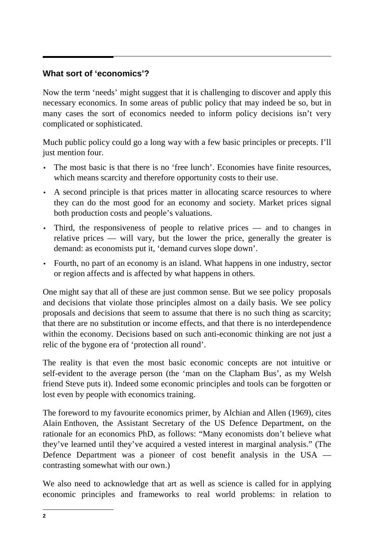## **What sort of 'economics'?**

Now the term 'needs' might suggest that it is challenging to discover and apply this necessary economics. In some areas of public policy that may indeed be so, but in many cases the sort of economics needed to inform policy decisions isn't very complicated or sophisticated.

Much public policy could go a long way with a few basic principles or precepts. I'll just mention four.

- The most basic is that there is no 'free lunch'. Economies have finite resources, which means scarcity and therefore opportunity costs to their use.
- A second principle is that prices matter in allocating scarce resources to where they can do the most good for an economy and society. Market prices signal both production costs and people's valuations.
- Third, the responsiveness of people to relative prices and to changes in relative prices — will vary, but the lower the price, generally the greater is demand: as economists put it, 'demand curves slope down'.
- Fourth, no part of an economy is an island. What happens in one industry, sector or region affects and is affected by what happens in others.

One might say that all of these are just common sense. But we see policy proposals and decisions that violate those principles almost on a daily basis. We see policy proposals and decisions that seem to assume that there is no such thing as scarcity; that there are no substitution or income effects, and that there is no interdependence within the economy. Decisions based on such anti-economic thinking are not just a relic of the bygone era of 'protection all round'.

The reality is that even the most basic economic concepts are not intuitive or self-evident to the average person (the 'man on the Clapham Bus', as my Welsh friend Steve puts it). Indeed some economic principles and tools can be forgotten or lost even by people with economics training.

The foreword to my favourite economics primer, by Alchian and Allen (1969), cites Alain Enthoven, the Assistant Secretary of the US Defence Department, on the rationale for an economics PhD, as follows: "Many economists don't believe what they've learned until they've acquired a vested interest in marginal analysis." (The Defence Department was a pioneer of cost benefit analysis in the USA contrasting somewhat with our own.)

We also need to acknowledge that art as well as science is called for in applying economic principles and frameworks to real world problems: in relation to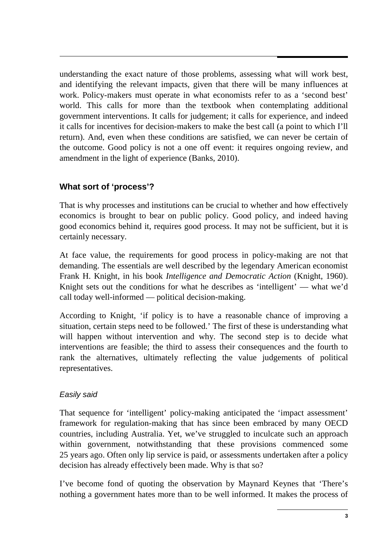understanding the exact nature of those problems, assessing what will work best, and identifying the relevant impacts, given that there will be many influences at work. Policy-makers must operate in what economists refer to as a 'second best' world. This calls for more than the textbook when contemplating additional government interventions. It calls for judgement; it calls for experience, and indeed it calls for incentives for decision-makers to make the best call (a point to which I'll return). And, even when these conditions are satisfied, we can never be certain of the outcome. Good policy is not a one off event: it requires ongoing review, and amendment in the light of experience (Banks, 2010).

## **What sort of 'process'?**

That is why processes and institutions can be crucial to whether and how effectively economics is brought to bear on public policy. Good policy, and indeed having good economics behind it, requires good process. It may not be sufficient, but it is certainly necessary.

At face value, the requirements for good process in policy-making are not that demanding. The essentials are well described by the legendary American economist Frank H. Knight, in his book *Intelligence and Democratic Action* (Knight, 1960). Knight sets out the conditions for what he describes as 'intelligent' — what we'd call today well-informed — political decision-making.

According to Knight, 'if policy is to have a reasonable chance of improving a situation, certain steps need to be followed.' The first of these is understanding what will happen without intervention and why. The second step is to decide what interventions are feasible; the third to assess their consequences and the fourth to rank the alternatives, ultimately reflecting the value judgements of political representatives.

## *Easily said*

That sequence for 'intelligent' policy-making anticipated the 'impact assessment' framework for regulation-making that has since been embraced by many OECD countries, including Australia. Yet, we've struggled to inculcate such an approach within government, notwithstanding that these provisions commenced some 25 years ago. Often only lip service is paid, or assessments undertaken after a policy decision has already effectively been made. Why is that so?

I've become fond of quoting the observation by Maynard Keynes that 'There's nothing a government hates more than to be well informed. It makes the process of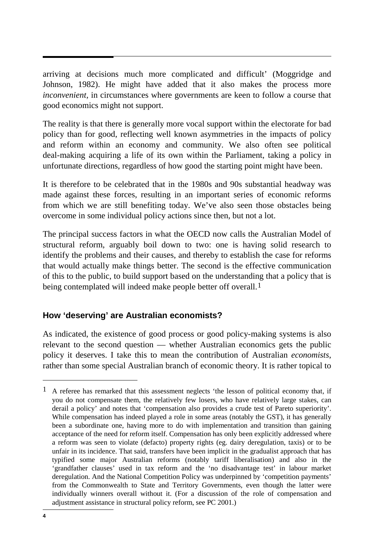arriving at decisions much more complicated and difficult' (Moggridge and Johnson, 1982). He might have added that it also makes the process more *inconvenient,* in circumstances where governments are keen to follow a course that good economics might not support.

The reality is that there is generally more vocal support within the electorate for bad policy than for good, reflecting well known asymmetries in the impacts of policy and reform within an economy and community. We also often see political deal-making acquiring a life of its own within the Parliament, taking a policy in unfortunate directions, regardless of how good the starting point might have been.

It is therefore to be celebrated that in the 1980s and 90s substantial headway was made against these forces, resulting in an important series of economic reforms from which we are still benefiting today. We've also seen those obstacles being overcome in some individual policy actions since then, but not a lot.

The principal success factors in what the OECD now calls the Australian Model of structural reform, arguably boil down to two: one is having solid research to identify the problems and their causes, and thereby to establish the case for reforms that would actually make things better. The second is the effective communication of this to the public, to build support based on the understanding that a policy that is being contemplated will indeed make people better off overall.<sup>[1](#page-0-1)</sup>

## **How 'deserving' are Australian economists?**

As indicated, the existence of good process or good policy-making systems is also relevant to the second question — whether Australian economics gets the public policy it deserves. I take this to mean the contribution of Australian *economists*, rather than some special Australian branch of economic theory. It is rather topical to

 $\overline{a}$ 

<span id="page-3-0"></span><sup>&</sup>lt;sup>1</sup> A referee has remarked that this assessment neglects 'the lesson of political economy that, if you do not compensate them, the relatively few losers, who have relatively large stakes, can derail a policy' and notes that 'compensation also provides a crude test of Pareto superiority'. While compensation has indeed played a role in some areas (notably the GST), it has generally been a subordinate one, having more to do with implementation and transition than gaining acceptance of the need for reform itself. Compensation has only been explicitly addressed where a reform was seen to violate (defacto) property rights (eg. dairy deregulation, taxis) or to be unfair in its incidence. That said, transfers have been implicit in the gradualist approach that has typified some major Australian reforms (notably tariff liberalisation) and also in the 'grandfather clauses' used in tax reform and the 'no disadvantage test' in labour market deregulation. And the National Competition Policy was underpinned by 'competition payments' from the Commonwealth to State and Territory Governments, even though the latter were individually winners overall without it. (For a discussion of the role of compensation and adjustment assistance in structural policy reform, see PC 2001.)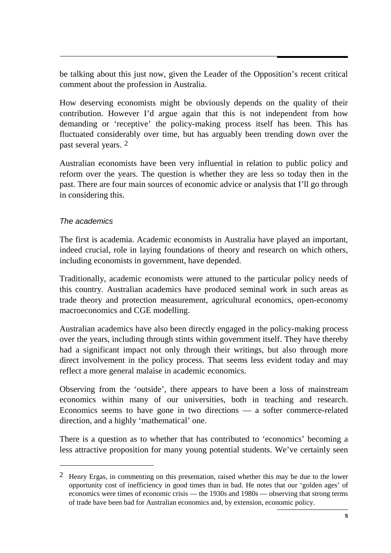be talking about this just now, given the Leader of the Opposition's recent critical comment about the profession in Australia.

How deserving economists might be obviously depends on the quality of their contribution. However I'd argue again that this is not independent from how demanding or 'receptive' the policy-making process itself has been. This has fluctuated considerably over time, but has arguably been trending down over the past several years. [2](#page-3-0)

Australian economists have been very influential in relation to public policy and reform over the years. The question is whether they are less so today then in the past. There are four main sources of economic advice or analysis that I'll go through in considering this.

#### *The academics*

-

The first is academia. Academic economists in Australia have played an important, indeed crucial, role in laying foundations of theory and research on which others, including economists in government, have depended.

Traditionally, academic economists were attuned to the particular policy needs of this country. Australian academics have produced seminal work in such areas as trade theory and protection measurement, agricultural economics, open-economy macroeconomics and CGE modelling.

Australian academics have also been directly engaged in the policy-making process over the years, including through stints within government itself. They have thereby had a significant impact not only through their writings, but also through more direct involvement in the policy process. That seems less evident today and may reflect a more general malaise in academic economics.

Observing from the 'outside', there appears to have been a loss of mainstream economics within many of our universities, both in teaching and research. Economics seems to have gone in two directions — a softer commerce-related direction, and a highly 'mathematical' one.

<span id="page-4-0"></span>There is a question as to whether that has contributed to 'economics' becoming a less attractive proposition for many young potential students. We've certainly seen

<sup>&</sup>lt;sup>2</sup> Henry Ergas, in commenting on this presentation, raised whether this may be due to the lower opportunity cost of inefficiency in good times than in bad. He notes that our 'golden ages' of economics were times of economic crisis — the 1930s and 1980s — observing that strong terms of trade have been bad for Australian economics and, by extension, economic policy.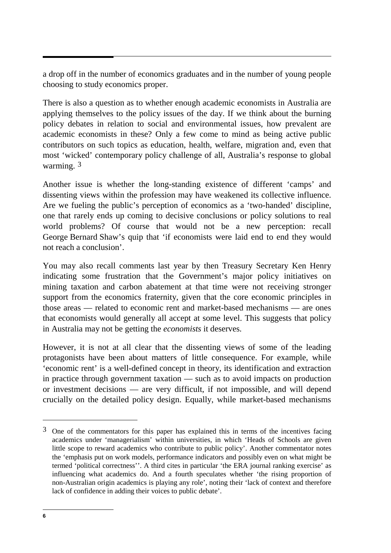a drop off in the number of economics graduates and in the number of young people choosing to study economics proper.

There is also a question as to whether enough academic economists in Australia are applying themselves to the policy issues of the day. If we think about the burning policy debates in relation to social and environmental issues, how prevalent are academic economists in these? Only a few come to mind as being active public contributors on such topics as education, health, welfare, migration and, even that most 'wicked' contemporary policy challenge of all, Australia's response to global warming. <sup>[3](#page-4-0)</sup>

Another issue is whether the long-standing existence of different 'camps' and dissenting views within the profession may have weakened its collective influence. Are we fueling the public's perception of economics as a 'two-handed' discipline, one that rarely ends up coming to decisive conclusions or policy solutions to real world problems? Of course that would not be a new perception: recall George Bernard Shaw's quip that 'if economists were laid end to end they would not reach a conclusion'.

You may also recall comments last year by then Treasury Secretary Ken Henry indicating some frustration that the Government's major policy initiatives on mining taxation and carbon abatement at that time were not receiving stronger support from the economics fraternity, given that the core economic principles in those areas — related to economic rent and market-based mechanisms — are ones that economists would generally all accept at some level. This suggests that policy in Australia may not be getting the *economists* it deserves.

However, it is not at all clear that the dissenting views of some of the leading protagonists have been about matters of little consequence. For example, while 'economic rent' is a well-defined concept in theory, its identification and extraction in practice through government taxation — such as to avoid impacts on production or investment decisions — are very difficult, if not impossible, and will depend crucially on the detailed policy design. Equally, while market-based mechanisms

 $\overline{a}$ 

 $3$  One of the commentators for this paper has explained this in terms of the incentives facing academics under 'managerialism' within universities, in which 'Heads of Schools are given little scope to reward academics who contribute to public policy'. Another commentator notes the 'emphasis put on work models, performance indicators and possibly even on what might be termed 'political correctness''. A third cites in particular 'the ERA journal ranking exercise' as influencing what academics do. And a fourth speculates whether 'the rising proportion of non-Australian origin academics is playing any role', noting their 'lack of context and therefore lack of confidence in adding their voices to public debate'.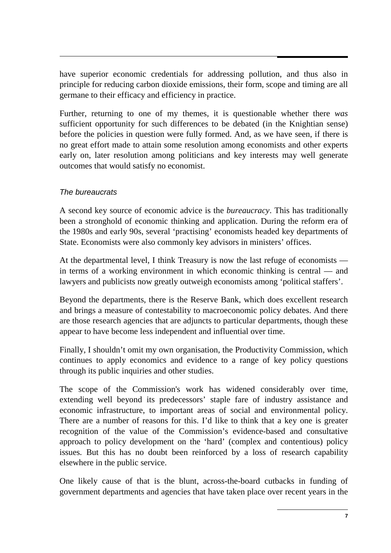have superior economic credentials for addressing pollution, and thus also in principle for reducing carbon dioxide emissions, their form, scope and timing are all germane to their efficacy and efficiency in practice.

Further, returning to one of my themes, it is questionable whether there *was* sufficient opportunity for such differences to be debated (in the Knightian sense) before the policies in question were fully formed. And, as we have seen, if there is no great effort made to attain some resolution among economists and other experts early on, later resolution among politicians and key interests may well generate outcomes that would satisfy no economist.

#### *The bureaucrats*

A second key source of economic advice is the *bureaucracy*. This has traditionally been a stronghold of economic thinking and application. During the reform era of the 1980s and early 90s, several 'practising' economists headed key departments of State. Economists were also commonly key advisors in ministers' offices.

At the departmental level, I think Treasury is now the last refuge of economists in terms of a working environment in which economic thinking is central — and lawyers and publicists now greatly outweigh economists among 'political staffers'.

Beyond the departments, there is the Reserve Bank, which does excellent research and brings a measure of contestability to macroeconomic policy debates. And there are those research agencies that are adjuncts to particular departments, though these appear to have become less independent and influential over time.

Finally, I shouldn't omit my own organisation, the Productivity Commission, which continues to apply economics and evidence to a range of key policy questions through its public inquiries and other studies.

The scope of the Commission's work has widened considerably over time, extending well beyond its predecessors' staple fare of industry assistance and economic infrastructure, to important areas of social and environmental policy. There are a number of reasons for this. I'd like to think that a key one is greater recognition of the value of the Commission's evidence-based and consultative approach to policy development on the 'hard' (complex and contentious) policy issues. But this has no doubt been reinforced by a loss of research capability elsewhere in the public service.

One likely cause of that is the blunt, across-the-board cutbacks in funding of government departments and agencies that have taken place over recent years in the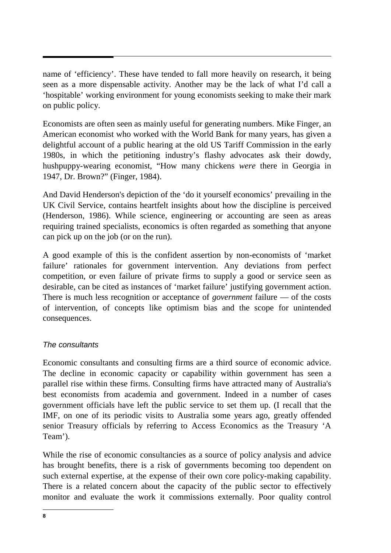name of 'efficiency'. These have tended to fall more heavily on research, it being seen as a more dispensable activity. Another may be the lack of what I'd call a 'hospitable' working environment for young economists seeking to make their mark on public policy.

Economists are often seen as mainly useful for generating numbers. Mike Finger, an American economist who worked with the World Bank for many years, has given a delightful account of a public hearing at the old US Tariff Commission in the early 1980s, in which the petitioning industry's flashy advocates ask their dowdy, hushpuppy-wearing economist, "How many chickens *were* there in Georgia in 1947, Dr. Brown?" (Finger, 1984).

And David Henderson's depiction of the 'do it yourself economics' prevailing in the UK Civil Service, contains heartfelt insights about how the discipline is perceived (Henderson, 1986). While science, engineering or accounting are seen as areas requiring trained specialists, economics is often regarded as something that anyone can pick up on the job (or on the run).

A good example of this is the confident assertion by non-economists of 'market failure' rationales for government intervention. Any deviations from perfect competition, or even failure of private firms to supply a good or service seen as desirable, can be cited as instances of 'market failure' justifying government action. There is much less recognition or acceptance of *government* failure — of the costs of intervention, of concepts like optimism bias and the scope for unintended consequences.

#### *The consultants*

Economic consultants and consulting firms are a third source of economic advice. The decline in economic capacity or capability within government has seen a parallel rise within these firms. Consulting firms have attracted many of Australia's best economists from academia and government. Indeed in a number of cases government officials have left the public service to set them up. (I recall that the IMF, on one of its periodic visits to Australia some years ago, greatly offended senior Treasury officials by referring to Access Economics as the Treasury 'A Team').

While the rise of economic consultancies as a source of policy analysis and advice has brought benefits, there is a risk of governments becoming too dependent on such external expertise, at the expense of their own core policy-making capability. There is a related concern about the capacity of the public sector to effectively monitor and evaluate the work it commissions externally. Poor quality control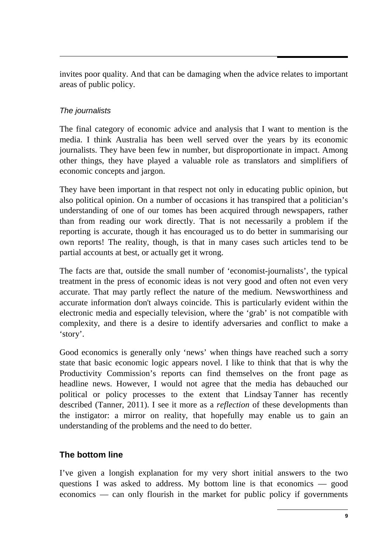invites poor quality. And that can be damaging when the advice relates to important areas of public policy.

## *The journalists*

The final category of economic advice and analysis that I want to mention is the media. I think Australia has been well served over the years by its economic journalists. They have been few in number, but disproportionate in impact. Among other things, they have played a valuable role as translators and simplifiers of economic concepts and jargon.

They have been important in that respect not only in educating public opinion, but also political opinion. On a number of occasions it has transpired that a politician's understanding of one of our tomes has been acquired through newspapers, rather than from reading our work directly. That is not necessarily a problem if the reporting is accurate, though it has encouraged us to do better in summarising our own reports! The reality, though, is that in many cases such articles tend to be partial accounts at best, or actually get it wrong.

The facts are that, outside the small number of 'economist-journalists', the typical treatment in the press of economic ideas is not very good and often not even very accurate. That may partly reflect the nature of the medium. Newsworthiness and accurate information don't always coincide. This is particularly evident within the electronic media and especially television, where the 'grab' is not compatible with complexity, and there is a desire to identify adversaries and conflict to make a 'story'.

Good economics is generally only 'news' when things have reached such a sorry state that basic economic logic appears novel. I like to think that that is why the Productivity Commission's reports can find themselves on the front page as headline news. However, I would not agree that the media has debauched our political or policy processes to the extent that Lindsay Tanner has recently described (Tanner, 2011). I see it more as a *reflection* of these developments than the instigator: a mirror on reality, that hopefully may enable us to gain an understanding of the problems and the need to do better.

## **The bottom line**

I've given a longish explanation for my very short initial answers to the two questions I was asked to address. My bottom line is that economics — good economics — can only flourish in the market for public policy if governments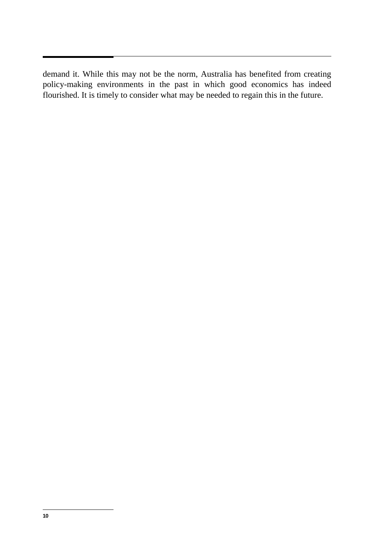demand it. While this may not be the norm, Australia has benefited from creating policy-making environments in the past in which good economics has indeed flourished. It is timely to consider what may be needed to regain this in the future.